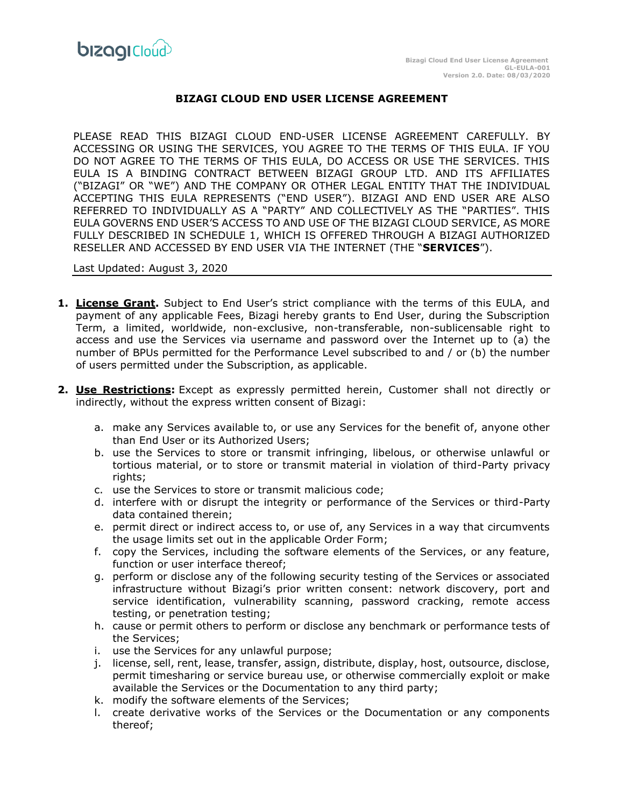

## **BIZAGI CLOUD END USER LICENSE AGREEMENT**

PLEASE READ THIS BIZAGI CLOUD END-USER LICENSE AGREEMENT CAREFULLY. BY ACCESSING OR USING THE SERVICES, YOU AGREE TO THE TERMS OF THIS EULA. IF YOU DO NOT AGREE TO THE TERMS OF THIS EULA, DO ACCESS OR USE THE SERVICES. THIS EULA IS A BINDING CONTRACT BETWEEN BIZAGI GROUP LTD. AND ITS AFFILIATES ("BIZAGI" OR "WE") AND THE COMPANY OR OTHER LEGAL ENTITY THAT THE INDIVIDUAL ACCEPTING THIS EULA REPRESENTS ("END USER"). BIZAGI AND END USER ARE ALSO REFERRED TO INDIVIDUALLY AS A "PARTY" AND COLLECTIVELY AS THE "PARTIES". THIS EULA GOVERNS END USER'S ACCESS TO AND USE OF THE BIZAGI CLOUD SERVICE, AS MORE FULLY DESCRIBED IN SCHEDULE 1, WHICH IS OFFERED THROUGH A BIZAGI AUTHORIZED RESELLER AND ACCESSED BY END USER VIA THE INTERNET (THE "**SERVICES**").

#### Last Updated: August 3, 2020

- **1. License Grant.** Subject to End User's strict compliance with the terms of this EULA, and payment of any applicable Fees, Bizagi hereby grants to End User, during the Subscription Term, a limited, worldwide, non-exclusive, non-transferable, non-sublicensable right to access and use the Services via username and password over the Internet up to (a) the number of BPUs permitted for the Performance Level subscribed to and / or (b) the number of users permitted under the Subscription, as applicable.
- **2. Use Restrictions:** Except as expressly permitted herein, Customer shall not directly or indirectly, without the express written consent of Bizagi:
	- a. make any Services available to, or use any Services for the benefit of, anyone other than End User or its Authorized Users;
	- b. use the Services to store or transmit infringing, libelous, or otherwise unlawful or tortious material, or to store or transmit material in violation of third-Party privacy rights;
	- c. use the Services to store or transmit malicious code;
	- d. interfere with or disrupt the integrity or performance of the Services or third-Party data contained therein;
	- e. permit direct or indirect access to, or use of, any Services in a way that circumvents the usage limits set out in the applicable Order Form;
	- f. copy the Services, including the software elements of the Services, or any feature, function or user interface thereof;
	- g. perform or disclose any of the following security testing of the Services or associated infrastructure without Bizagi's prior written consent: network discovery, port and service identification, vulnerability scanning, password cracking, remote access testing, or penetration testing;
	- h. cause or permit others to perform or disclose any benchmark or performance tests of the Services;
	- i. use the Services for any unlawful purpose;
	- j. license, sell, rent, lease, transfer, assign, distribute, display, host, outsource, disclose, permit timesharing or service bureau use, or otherwise commercially exploit or make available the Services or the Documentation to any third party;
	- k. modify the software elements of the Services;
	- l. create derivative works of the Services or the Documentation or any components thereof;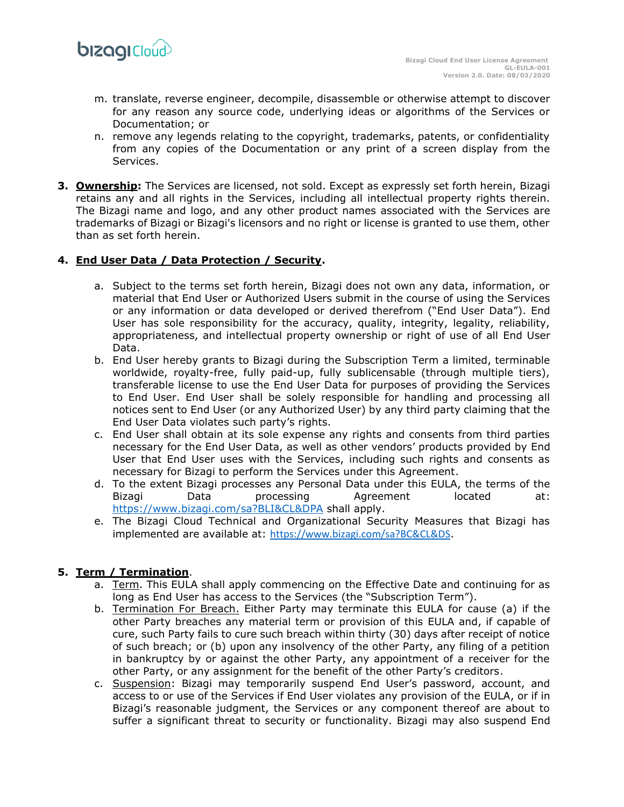

- m. translate, reverse engineer, decompile, disassemble or otherwise attempt to discover for any reason any source code, underlying ideas or algorithms of the Services or Documentation; or
- n. remove any legends relating to the copyright, trademarks, patents, or confidentiality from any copies of the Documentation or any print of a screen display from the Services.
- **3. Ownership:** The Services are licensed, not sold. Except as expressly set forth herein, Bizagi retains any and all rights in the Services, including all intellectual property rights therein. The Bizagi name and logo, and any other product names associated with the Services are trademarks of Bizagi or Bizagi's licensors and no right or license is granted to use them, other than as set forth herein.

## **4. End User Data / Data Protection / Security.**

- a. Subject to the terms set forth herein, Bizagi does not own any data, information, or material that End User or Authorized Users submit in the course of using the Services or any information or data developed or derived therefrom ("End User Data"). End User has sole responsibility for the accuracy, quality, integrity, legality, reliability, appropriateness, and intellectual property ownership or right of use of all End User Data.
- b. End User hereby grants to Bizagi during the Subscription Term a limited, terminable worldwide, royalty-free, fully paid-up, fully sublicensable (through multiple tiers), transferable license to use the End User Data for purposes of providing the Services to End User. End User shall be solely responsible for handling and processing all notices sent to End User (or any Authorized User) by any third party claiming that the End User Data violates such party's rights.
- c. End User shall obtain at its sole expense any rights and consents from third parties necessary for the End User Data, as well as other vendors' products provided by End User that End User uses with the Services, including such rights and consents as necessary for Bizagi to perform the Services under this Agreement.
- d. To the extent Bizagi processes any Personal Data under this EULA, the terms of the Bizagi Data processing Agreement located at: <https://www.bizagi.com/sa?BLI&CL&DPA> shall apply.
- e. The Bizagi Cloud Technical and Organizational Security Measures that Bizagi has implemented are available at: <https://www.bizagi.com/sa?BC&CL&DS>.

# **5. Term / Termination**.

- a. Term. This EULA shall apply commencing on the Effective Date and continuing for as long as End User has access to the Services (the "Subscription Term").
- b. Termination For Breach. Either Party may terminate this EULA for cause (a) if the other Party breaches any material term or provision of this EULA and, if capable of cure, such Party fails to cure such breach within thirty (30) days after receipt of notice of such breach; or (b) upon any insolvency of the other Party, any filing of a petition in bankruptcy by or against the other Party, any appointment of a receiver for the other Party, or any assignment for the benefit of the other Party's creditors.
- c. Suspension: Bizagi may temporarily suspend End User's password, account, and access to or use of the Services if End User violates any provision of the EULA, or if in Bizagi's reasonable judgment, the Services or any component thereof are about to suffer a significant threat to security or functionality. Bizagi may also suspend End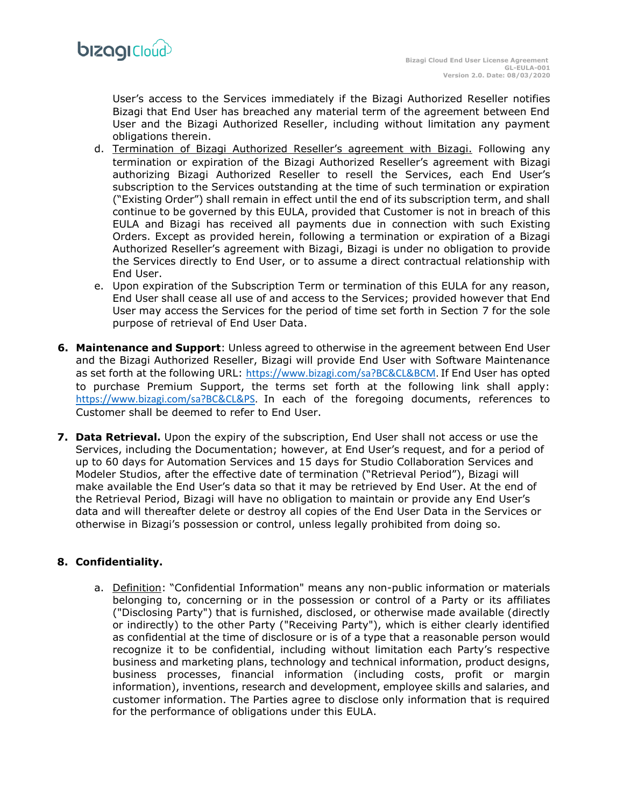User's access to the Services immediately if the Bizagi Authorized Reseller notifies Bizagi that End User has breached any material term of the agreement between End User and the Bizagi Authorized Reseller, including without limitation any payment obligations therein.

- d. Termination of Bizagi Authorized Reseller's agreement with Bizagi. Following any termination or expiration of the Bizagi Authorized Reseller's agreement with Bizagi authorizing Bizagi Authorized Reseller to resell the Services, each End User's subscription to the Services outstanding at the time of such termination or expiration ("Existing Order") shall remain in effect until the end of its subscription term, and shall continue to be governed by this EULA, provided that Customer is not in breach of this EULA and Bizagi has received all payments due in connection with such Existing Orders. Except as provided herein, following a termination or expiration of a Bizagi Authorized Reseller's agreement with Bizagi, Bizagi is under no obligation to provide the Services directly to End User, or to assume a direct contractual relationship with End User.
- e. Upon expiration of the Subscription Term or termination of this EULA for any reason, End User shall cease all use of and access to the Services; provided however that End User may access the Services for the period of time set forth in Section 7 for the sole purpose of retrieval of End User Data.
- **6. Maintenance and Support**: Unless agreed to otherwise in the agreement between End User and the Bizagi Authorized Reseller, Bizagi will provide End User with Software Maintenance as set forth at the following URL: [https://www.bizagi.com/sa?BC&CL&BCM.](https://www.bizagi.com/sa?BC&CL&BCM) If End User has opted to purchase Premium Support, the terms set forth at the following link shall apply: [https://www.bizagi.com/sa?BC&CL&PS.](https://www.bizagi.com/sa?BC&CL&PS) In each of the foregoing documents, references to Customer shall be deemed to refer to End User.
- **7. Data Retrieval.** Upon the expiry of the subscription, End User shall not access or use the Services, including the Documentation; however, at End User's request, and for a period of up to 60 days for Automation Services and 15 days for Studio Collaboration Services and Modeler Studios, after the effective date of termination ("Retrieval Period"), Bizagi will make available the End User's data so that it may be retrieved by End User. At the end of the Retrieval Period, Bizagi will have no obligation to maintain or provide any End User's data and will thereafter delete or destroy all copies of the End User Data in the Services or otherwise in Bizagi's possession or control, unless legally prohibited from doing so.

#### **8. Confidentiality.**

a. Definition: "Confidential Information" means any non-public information or materials belonging to, concerning or in the possession or control of a Party or its affiliates ("Disclosing Party") that is furnished, disclosed, or otherwise made available (directly or indirectly) to the other Party ("Receiving Party"), which is either clearly identified as confidential at the time of disclosure or is of a type that a reasonable person would recognize it to be confidential, including without limitation each Party's respective business and marketing plans, technology and technical information, product designs, business processes, financial information (including costs, profit or margin information), inventions, research and development, employee skills and salaries, and customer information. The Parties agree to disclose only information that is required for the performance of obligations under this EULA.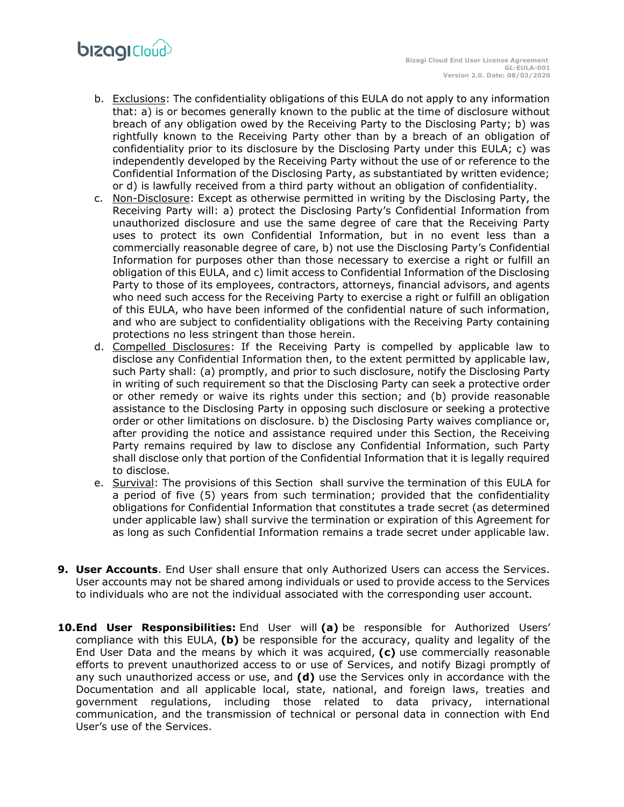# **bizagi**Cloud

- b. Exclusions: The confidentiality obligations of this EULA do not apply to any information that: a) is or becomes generally known to the public at the time of disclosure without breach of any obligation owed by the Receiving Party to the Disclosing Party; b) was rightfully known to the Receiving Party other than by a breach of an obligation of confidentiality prior to its disclosure by the Disclosing Party under this EULA; c) was independently developed by the Receiving Party without the use of or reference to the Confidential Information of the Disclosing Party, as substantiated by written evidence; or d) is lawfully received from a third party without an obligation of confidentiality.
- c. Non-Disclosure: Except as otherwise permitted in writing by the Disclosing Party, the Receiving Party will: a) protect the Disclosing Party's Confidential Information from unauthorized disclosure and use the same degree of care that the Receiving Party uses to protect its own Confidential Information, but in no event less than a commercially reasonable degree of care, b) not use the Disclosing Party's Confidential Information for purposes other than those necessary to exercise a right or fulfill an obligation of this EULA, and c) limit access to Confidential Information of the Disclosing Party to those of its employees, contractors, attorneys, financial advisors, and agents who need such access for the Receiving Party to exercise a right or fulfill an obligation of this EULA, who have been informed of the confidential nature of such information, and who are subject to confidentiality obligations with the Receiving Party containing protections no less stringent than those herein.
- d. Compelled Disclosures: If the Receiving Party is compelled by applicable law to disclose any Confidential Information then, to the extent permitted by applicable law, such Party shall: (a) promptly, and prior to such disclosure, notify the Disclosing Party in writing of such requirement so that the Disclosing Party can seek a protective order or other remedy or waive its rights under this section; and (b) provide reasonable assistance to the Disclosing Party in opposing such disclosure or seeking a protective order or other limitations on disclosure. b) the Disclosing Party waives compliance or, after providing the notice and assistance required under this Section, the Receiving Party remains required by law to disclose any Confidential Information, such Party shall disclose only that portion of the Confidential Information that it is legally required to disclose.
- e. Survival: The provisions of this Section shall survive the termination of this EULA for a period of five (5) years from such termination; provided that the confidentiality obligations for Confidential Information that constitutes a trade secret (as determined under applicable law) shall survive the termination or expiration of this Agreement for as long as such Confidential Information remains a trade secret under applicable law.
- **9. User Accounts**. End User shall ensure that only Authorized Users can access the Services. User accounts may not be shared among individuals or used to provide access to the Services to individuals who are not the individual associated with the corresponding user account.
- **10.End User Responsibilities:** End User will **(a)** be responsible for Authorized Users' compliance with this EULA, **(b)** be responsible for the accuracy, quality and legality of the End User Data and the means by which it was acquired, **(c)** use commercially reasonable efforts to prevent unauthorized access to or use of Services, and notify Bizagi promptly of any such unauthorized access or use, and **(d)** use the Services only in accordance with the Documentation and all applicable local, state, national, and foreign laws, treaties and government regulations, including those related to data privacy, international communication, and the transmission of technical or personal data in connection with End User's use of the Services.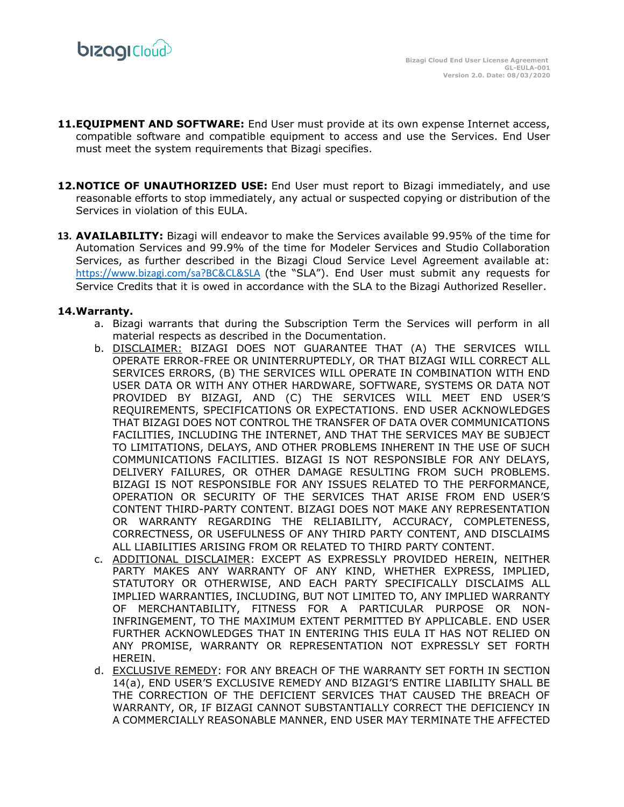

- 11. **EQUIPMENT AND SOFTWARE:** End User must provide at its own expense Internet access, compatible software and compatible equipment to access and use the Services. End User must meet the system requirements that Bizagi specifies.
- **12.NOTICE OF UNAUTHORIZED USE:** End User must report to Bizagi immediately, and use reasonable efforts to stop immediately, any actual or suspected copying or distribution of the Services in violation of this EULA.
- **13. AVAILABILITY:** Bizagi will endeavor to make the Services available 99.95% of the time for Automation Services and 99.9% of the time for Modeler Services and Studio Collaboration Services, as further described in the Bizagi Cloud Service Level Agreement available at: [https://www.bizagi.com/sa?BC&CL&SLA](https://resourcesbizagi.azureedge.net/docs/StandardAgreements_2/Cloud/Service-Description/Service-Level-Agreement-NA.pdf) (the "SLA"). End User must submit any requests for Service Credits that it is owed in accordance with the SLA to the Bizagi Authorized Reseller.

#### **14.Warranty.**

- a. Bizagi warrants that during the Subscription Term the Services will perform in all material respects as described in the Documentation.
- b. DISCLAIMER: BIZAGI DOES NOT GUARANTEE THAT (A) THE SERVICES WILL OPERATE ERROR-FREE OR UNINTERRUPTEDLY, OR THAT BIZAGI WILL CORRECT ALL SERVICES ERRORS, (B) THE SERVICES WILL OPERATE IN COMBINATION WITH END USER DATA OR WITH ANY OTHER HARDWARE, SOFTWARE, SYSTEMS OR DATA NOT PROVIDED BY BIZAGI, AND (C) THE SERVICES WILL MEET END USER'S REQUIREMENTS, SPECIFICATIONS OR EXPECTATIONS. END USER ACKNOWLEDGES THAT BIZAGI DOES NOT CONTROL THE TRANSFER OF DATA OVER COMMUNICATIONS FACILITIES, INCLUDING THE INTERNET, AND THAT THE SERVICES MAY BE SUBJECT TO LIMITATIONS, DELAYS, AND OTHER PROBLEMS INHERENT IN THE USE OF SUCH COMMUNICATIONS FACILITIES. BIZAGI IS NOT RESPONSIBLE FOR ANY DELAYS, DELIVERY FAILURES, OR OTHER DAMAGE RESULTING FROM SUCH PROBLEMS. BIZAGI IS NOT RESPONSIBLE FOR ANY ISSUES RELATED TO THE PERFORMANCE, OPERATION OR SECURITY OF THE SERVICES THAT ARISE FROM END USER'S CONTENT THIRD-PARTY CONTENT. BIZAGI DOES NOT MAKE ANY REPRESENTATION OR WARRANTY REGARDING THE RELIABILITY, ACCURACY, COMPLETENESS, CORRECTNESS, OR USEFULNESS OF ANY THIRD PARTY CONTENT, AND DISCLAIMS ALL LIABILITIES ARISING FROM OR RELATED TO THIRD PARTY CONTENT.
- c. ADDITIONAL DISCLAIMER: EXCEPT AS EXPRESSLY PROVIDED HEREIN, NEITHER PARTY MAKES ANY WARRANTY OF ANY KIND, WHETHER EXPRESS, IMPLIED, STATUTORY OR OTHERWISE, AND EACH PARTY SPECIFICALLY DISCLAIMS ALL IMPLIED WARRANTIES, INCLUDING, BUT NOT LIMITED TO, ANY IMPLIED WARRANTY OF MERCHANTABILITY, FITNESS FOR A PARTICULAR PURPOSE OR NON-INFRINGEMENT, TO THE MAXIMUM EXTENT PERMITTED BY APPLICABLE. END USER FURTHER ACKNOWLEDGES THAT IN ENTERING THIS EULA IT HAS NOT RELIED ON ANY PROMISE, WARRANTY OR REPRESENTATION NOT EXPRESSLY SET FORTH HEREIN.
- d. EXCLUSIVE REMEDY: FOR ANY BREACH OF THE WARRANTY SET FORTH IN SECTION 14(a), END USER'S EXCLUSIVE REMEDY AND BIZAGI'S ENTIRE LIABILITY SHALL BE THE CORRECTION OF THE DEFICIENT SERVICES THAT CAUSED THE BREACH OF WARRANTY, OR, IF BIZAGI CANNOT SUBSTANTIALLY CORRECT THE DEFICIENCY IN A COMMERCIALLY REASONABLE MANNER, END USER MAY TERMINATE THE AFFECTED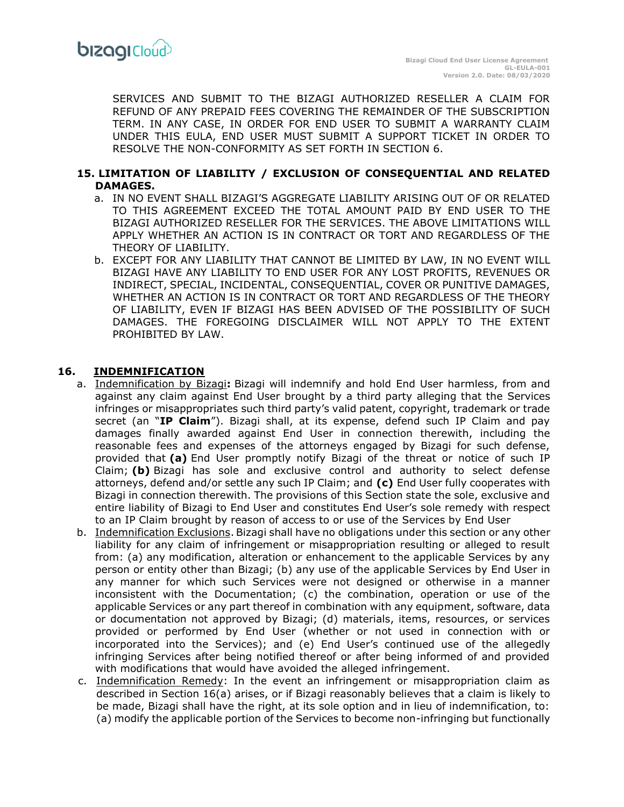SERVICES AND SUBMIT TO THE BIZAGI AUTHORIZED RESELLER A CLAIM FOR REFUND OF ANY PREPAID FEES COVERING THE REMAINDER OF THE SUBSCRIPTION TERM. IN ANY CASE, IN ORDER FOR END USER TO SUBMIT A WARRANTY CLAIM UNDER THIS EULA, END USER MUST SUBMIT A SUPPORT TICKET IN ORDER TO RESOLVE THE NON-CONFORMITY AS SET FORTH IN SECTION 6.

#### **15. LIMITATION OF LIABILITY / EXCLUSION OF CONSEQUENTIAL AND RELATED DAMAGES.**

- a. IN NO EVENT SHALL BIZAGI'S AGGREGATE LIABILITY ARISING OUT OF OR RELATED TO THIS AGREEMENT EXCEED THE TOTAL AMOUNT PAID BY END USER TO THE BIZAGI AUTHORIZED RESELLER FOR THE SERVICES. THE ABOVE LIMITATIONS WILL APPLY WHETHER AN ACTION IS IN CONTRACT OR TORT AND REGARDLESS OF THE THEORY OF LIABILITY.
- b. EXCEPT FOR ANY LIABILITY THAT CANNOT BE LIMITED BY LAW, IN NO EVENT WILL BIZAGI HAVE ANY LIABILITY TO END USER FOR ANY LOST PROFITS, REVENUES OR INDIRECT, SPECIAL, INCIDENTAL, CONSEQUENTIAL, COVER OR PUNITIVE DAMAGES, WHETHER AN ACTION IS IN CONTRACT OR TORT AND REGARDLESS OF THE THEORY OF LIABILITY, EVEN IF BIZAGI HAS BEEN ADVISED OF THE POSSIBILITY OF SUCH DAMAGES. THE FOREGOING DISCLAIMER WILL NOT APPLY TO THE EXTENT PROHIBITED BY LAW.

#### **16. INDEMNIFICATION**

- a. Indemnification by Bizagi**:** Bizagi will indemnify and hold End User harmless, from and against any claim against End User brought by a third party alleging that the Services infringes or misappropriates such third party's valid patent, copyright, trademark or trade secret (an "**IP Claim**"). Bizagi shall, at its expense, defend such IP Claim and pay damages finally awarded against End User in connection therewith, including the reasonable fees and expenses of the attorneys engaged by Bizagi for such defense, provided that **(a)** End User promptly notify Bizagi of the threat or notice of such IP Claim; **(b)** Bizagi has sole and exclusive control and authority to select defense attorneys, defend and/or settle any such IP Claim; and **(c)** End User fully cooperates with Bizagi in connection therewith. The provisions of this Section state the sole, exclusive and entire liability of Bizagi to End User and constitutes End User's sole remedy with respect to an IP Claim brought by reason of access to or use of the Services by End User
- b. Indemnification Exclusions. Bizagi shall have no obligations under this section or any other liability for any claim of infringement or misappropriation resulting or alleged to result from: (a) any modification, alteration or enhancement to the applicable Services by any person or entity other than Bizagi; (b) any use of the applicable Services by End User in any manner for which such Services were not designed or otherwise in a manner inconsistent with the Documentation; (c) the combination, operation or use of the applicable Services or any part thereof in combination with any equipment, software, data or documentation not approved by Bizagi; (d) materials, items, resources, or services provided or performed by End User (whether or not used in connection with or incorporated into the Services); and (e) End User's continued use of the allegedly infringing Services after being notified thereof or after being informed of and provided with modifications that would have avoided the alleged infringement.
- c. Indemnification Remedy: In the event an infringement or misappropriation claim as described in Section 16(a) arises, or if Bizagi reasonably believes that a claim is likely to be made, Bizagi shall have the right, at its sole option and in lieu of indemnification, to: (a) modify the applicable portion of the Services to become non-infringing but functionally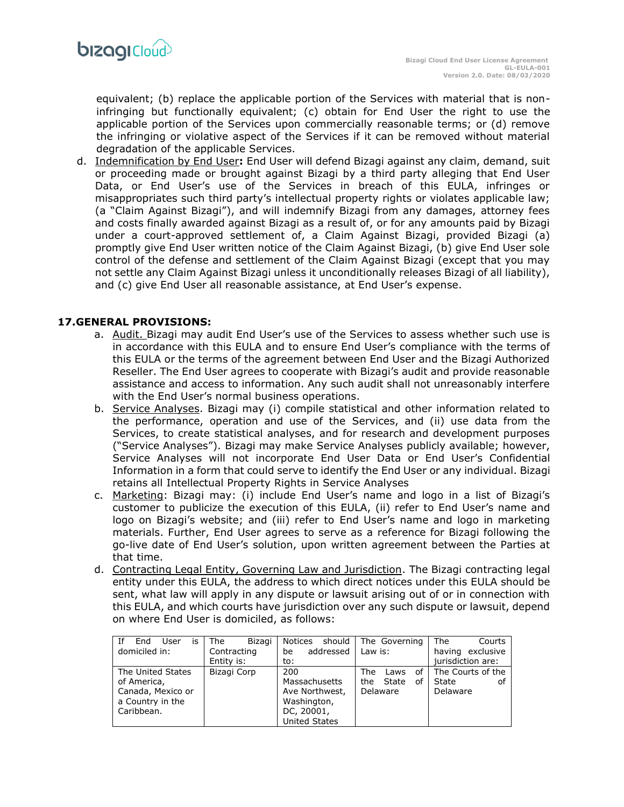

equivalent; (b) replace the applicable portion of the Services with material that is noninfringing but functionally equivalent; (c) obtain for End User the right to use the applicable portion of the Services upon commercially reasonable terms; or (d) remove the infringing or violative aspect of the Services if it can be removed without material degradation of the applicable Services.

d. Indemnification by End User**:** End User will defend Bizagi against any claim, demand, suit or proceeding made or brought against Bizagi by a third party alleging that End User Data, or End User's use of the Services in breach of this EULA, infringes or misappropriates such third party's intellectual property rights or violates applicable law; (a "Claim Against Bizagi"), and will indemnify Bizagi from any damages, attorney fees and costs finally awarded against Bizagi as a result of, or for any amounts paid by Bizagi under a court-approved settlement of, a Claim Against Bizagi, provided Bizagi (a) promptly give End User written notice of the Claim Against Bizagi, (b) give End User sole control of the defense and settlement of the Claim Against Bizagi (except that you may not settle any Claim Against Bizagi unless it unconditionally releases Bizagi of all liability), and (c) give End User all reasonable assistance, at End User's expense.

#### **17.GENERAL PROVISIONS:**

- a. Audit. Bizagi may audit End User's use of the Services to assess whether such use is in accordance with this EULA and to ensure End User's compliance with the terms of this EULA or the terms of the agreement between End User and the Bizagi Authorized Reseller. The End User agrees to cooperate with Bizagi's audit and provide reasonable assistance and access to information. Any such audit shall not unreasonably interfere with the End User's normal business operations.
- b. Service Analyses. Bizagi may (i) compile statistical and other information related to the performance, operation and use of the Services, and (ii) use data from the Services, to create statistical analyses, and for research and development purposes ("Service Analyses"). Bizagi may make Service Analyses publicly available; however, Service Analyses will not incorporate End User Data or End User's Confidential Information in a form that could serve to identify the End User or any individual. Bizagi retains all Intellectual Property Rights in Service Analyses
- c. Marketing: Bizagi may: (i) include End User's name and logo in a list of Bizagi's customer to publicize the execution of this EULA, (ii) refer to End User's name and logo on Bizagi's website; and (iii) refer to End User's name and logo in marketing materials. Further, End User agrees to serve as a reference for Bizagi following the go-live date of End User's solution, upon written agreement between the Parties at that time.
- d. Contracting Legal Entity, Governing Law and Jurisdiction. The Bizagi contracting legal entity under this EULA, the address to which direct notices under this EULA should be sent, what law will apply in any dispute or lawsuit arising out of or in connection with this EULA, and which courts have jurisdiction over any such dispute or lawsuit, depend on where End User is domiciled, as follows:

| Ιf<br>User<br>End<br>İS<br>domiciled in: | Bizagi<br>The<br>Contracting | should<br>Notices<br>addressed<br>be | The Governing<br>Law is: | The<br>Courts<br>having exclusive |
|------------------------------------------|------------------------------|--------------------------------------|--------------------------|-----------------------------------|
|                                          | Entity is:                   | to:                                  |                          | jurisdiction are:                 |
| The United States                        | Bizagi Corp                  | 200                                  | The<br>οf<br>Laws        | The Courts of the                 |
| of America,                              |                              | Massachusetts                        | the<br>State<br>of       | State<br>оf                       |
| Canada, Mexico or                        |                              | Ave Northwest,                       | Delaware                 | Delaware                          |
| a Country in the                         |                              | Washington,                          |                          |                                   |
| Caribbean.                               |                              | DC, 20001,                           |                          |                                   |
|                                          |                              | <b>United States</b>                 |                          |                                   |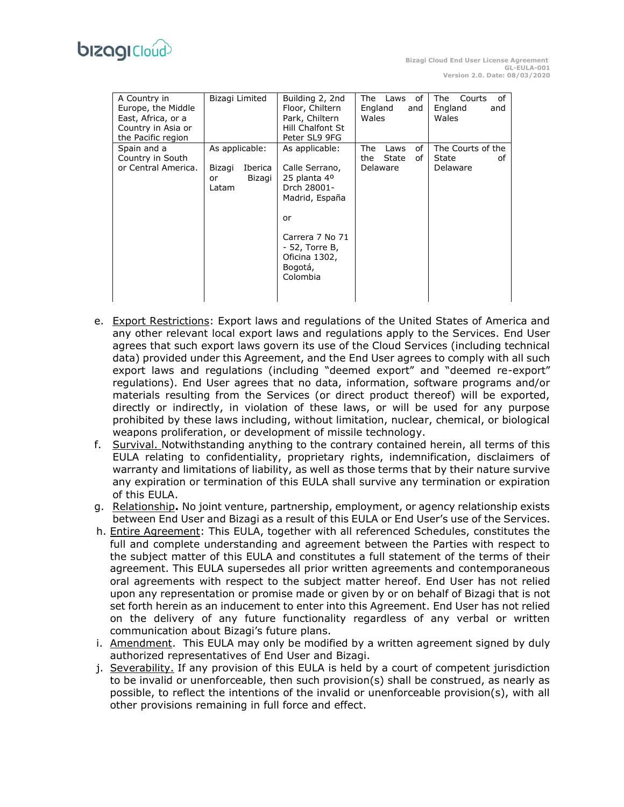| A Country in<br>Europe, the Middle<br>East, Africa, or a<br>Country in Asia or<br>the Pacific region | Bizagi Limited                                               | Building 2, 2nd<br>Floor, Chiltern<br>Park, Chiltern<br>Hill Chalfont St<br>Peter SL9 9FG                                                                                        | of<br>The Laws<br>England<br>and<br>Wales           | The<br>Courts<br>οf<br>England<br>and<br>Wales |
|------------------------------------------------------------------------------------------------------|--------------------------------------------------------------|----------------------------------------------------------------------------------------------------------------------------------------------------------------------------------|-----------------------------------------------------|------------------------------------------------|
| Spain and a<br>Country in South<br>or Central America.                                               | As applicable:<br>Bizagi<br>Iberica<br>Bizagi<br>or<br>Latam | As applicable:<br>Calle Serrano,<br>25 planta 4 <sup>o</sup><br>Drch 28001-<br>Madrid, España<br>or<br>Carrera 7 No 71<br>- 52, Torre B,<br>Oficina 1302,<br>Bogotá,<br>Colombia | οf<br>The<br>Laws<br>the<br>State<br>οf<br>Delaware | The Courts of the<br>State<br>оf<br>Delaware   |

- e. Export Restrictions: Export laws and regulations of the United States of America and any other relevant local export laws and regulations apply to the Services. End User agrees that such export laws govern its use of the Cloud Services (including technical data) provided under this Agreement, and the End User agrees to comply with all such export laws and regulations (including "deemed export" and "deemed re-export" regulations). End User agrees that no data, information, software programs and/or materials resulting from the Services (or direct product thereof) will be exported, directly or indirectly, in violation of these laws, or will be used for any purpose prohibited by these laws including, without limitation, nuclear, chemical, or biological weapons proliferation, or development of missile technology.
- f. Survival. Notwithstanding anything to the contrary contained herein, all terms of this EULA relating to confidentiality, proprietary rights, indemnification, disclaimers of warranty and limitations of liability, as well as those terms that by their nature survive any expiration or termination of this EULA shall survive any termination or expiration of this EULA.
- g. Relationship**.** No joint venture, partnership, employment, or agency relationship exists between End User and Bizagi as a result of this EULA or End User's use of the Services.
- h. Entire Agreement: This EULA, together with all referenced Schedules, constitutes the full and complete understanding and agreement between the Parties with respect to the subject matter of this EULA and constitutes a full statement of the terms of their agreement. This EULA supersedes all prior written agreements and contemporaneous oral agreements with respect to the subject matter hereof. End User has not relied upon any representation or promise made or given by or on behalf of Bizagi that is not set forth herein as an inducement to enter into this Agreement. End User has not relied on the delivery of any future functionality regardless of any verbal or written communication about Bizagi's future plans.
- i. Amendment. This EULA may only be modified by a written agreement signed by duly authorized representatives of End User and Bizagi.
- j. Severability. If any provision of this EULA is held by a court of competent jurisdiction to be invalid or unenforceable, then such provision(s) shall be construed, as nearly as possible, to reflect the intentions of the invalid or unenforceable provision(s), with all other provisions remaining in full force and effect.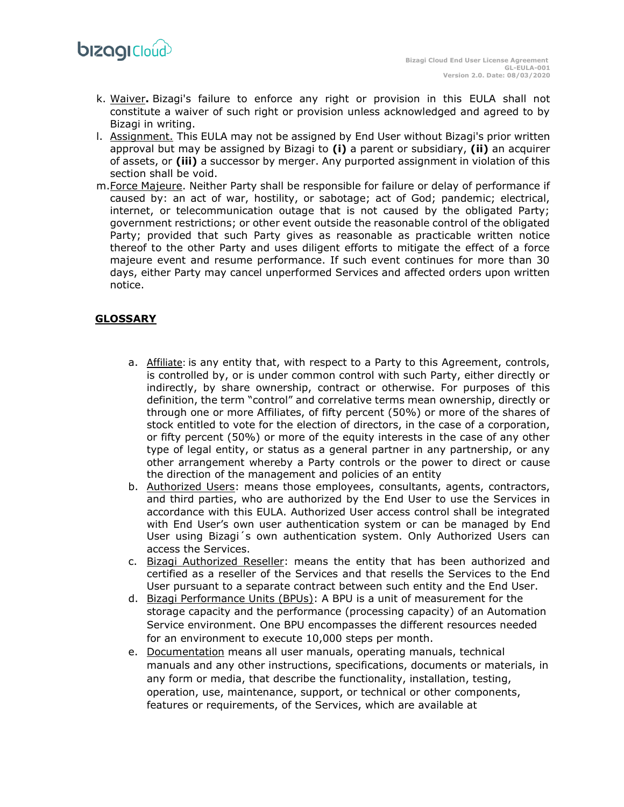- k. Waiver**.** Bizagi's failure to enforce any right or provision in this EULA shall not constitute a waiver of such right or provision unless acknowledged and agreed to by Bizagi in writing.
- l. Assignment. This EULA may not be assigned by End User without Bizagi's prior written approval but may be assigned by Bizagi to **(i)** a parent or subsidiary, **(ii)** an acquirer of assets, or **(iii)** a successor by merger. Any purported assignment in violation of this section shall be void.
- m.Force Majeure. Neither Party shall be responsible for failure or delay of performance if caused by: an act of war, hostility, or sabotage; act of God; pandemic; electrical, internet, or telecommunication outage that is not caused by the obligated Party; government restrictions; or other event outside the reasonable control of the obligated Party; provided that such Party gives as reasonable as practicable written notice thereof to the other Party and uses diligent efforts to mitigate the effect of a force majeure event and resume performance. If such event continues for more than 30 days, either Party may cancel unperformed Services and affected orders upon written notice.

# **GLOSSARY**

- a. Affiliate: is any entity that, with respect to a Party to this Agreement, controls, is controlled by, or is under common control with such Party, either directly or indirectly, by share ownership, contract or otherwise. For purposes of this definition, the term "control" and correlative terms mean ownership, directly or through one or more Affiliates, of fifty percent (50%) or more of the shares of stock entitled to vote for the election of directors, in the case of a corporation, or fifty percent (50%) or more of the equity interests in the case of any other type of legal entity, or status as a general partner in any partnership, or any other arrangement whereby a Party controls or the power to direct or cause the direction of the management and policies of an entity
- b. Authorized Users: means those employees, consultants, agents, contractors, and third parties, who are authorized by the End User to use the Services in accordance with this EULA. Authorized User access control shall be integrated with End User's own user authentication system or can be managed by End User using Bizagi´s own authentication system. Only Authorized Users can access the Services.
- c. Bizagi Authorized Reseller: means the entity that has been authorized and certified as a reseller of the Services and that resells the Services to the End User pursuant to a separate contract between such entity and the End User.
- d. Bizagi Performance Units (BPUs): A BPU is a unit of measurement for the storage capacity and the performance (processing capacity) of an Automation Service environment. One BPU encompasses the different resources needed for an environment to execute 10,000 steps per month.
- e. Documentation means all user manuals, operating manuals, technical manuals and any other instructions, specifications, documents or materials, in any form or media, that describe the functionality, installation, testing, operation, use, maintenance, support, or technical or other components, features or requirements, of the Services, which are available at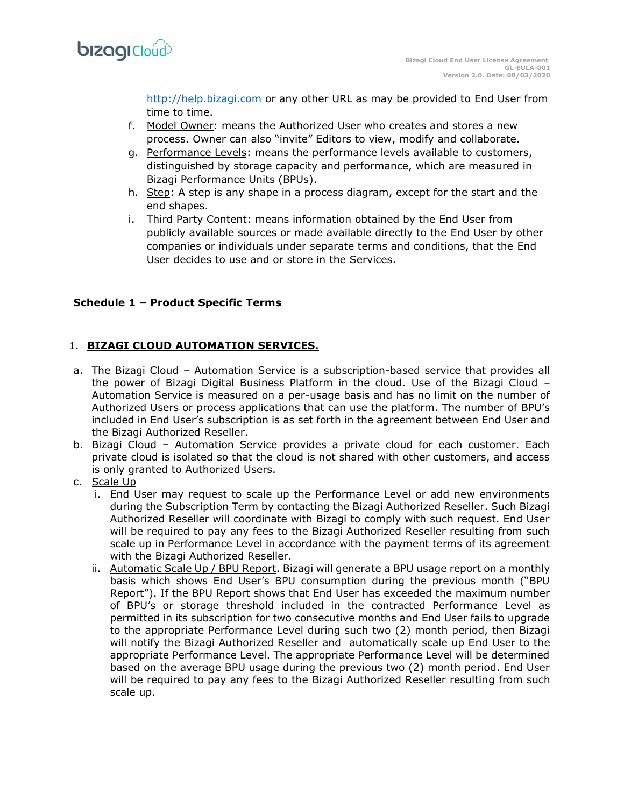

[http://help.bizagi.com](http://help.bizagi.com/) or any other URL as may be provided to End User from time to time.

- f. Model Owner: means the Authorized User who creates and stores a new process. Owner can also "invite" Editors to view, modify and collaborate.
- g. Performance Levels: means the performance levels available to customers, distinguished by storage capacity and performance, which are measured in Bizagi Performance Units (BPUs).
- h. Step: A step is any shape in a process diagram, except for the start and the end shapes.
- i. Third Party Content: means information obtained by the End User from publicly available sources or made available directly to the End User by other companies or individuals under separate terms and conditions, that the End User decides to use and or store in the Services.

## **Schedule 1 – Product Specific Terms**

## 1. **BIZAGI CLOUD AUTOMATION SERVICES.**

- a. The Bizagi Cloud Automation Service is a subscription-based service that provides all the power of Bizagi Digital Business Platform in the cloud. Use of the Bizagi Cloud – Automation Service is measured on a per-usage basis and has no limit on the number of Authorized Users or process applications that can use the platform. The number of BPU's included in End User's subscription is as set forth in the agreement between End User and the Bizagi Authorized Reseller.
- b. Bizagi Cloud Automation Service provides a private cloud for each customer. Each private cloud is isolated so that the cloud is not shared with other customers, and access is only granted to Authorized Users.
- c. Scale Up
	- i. End User may request to scale up the Performance Level or add new environments during the Subscription Term by contacting the Bizagi Authorized Reseller. Such Bizagi Authorized Reseller will coordinate with Bizagi to comply with such request. End User will be required to pay any fees to the Bizagi Authorized Reseller resulting from such scale up in Performance Level in accordance with the payment terms of its agreement with the Bizagi Authorized Reseller.
	- ii. Automatic Scale Up / BPU Report. Bizagi will generate a BPU usage report on a monthly basis which shows End User's BPU consumption during the previous month ("BPU Report"). If the BPU Report shows that End User has exceeded the maximum number of BPU's or storage threshold included in the contracted Performance Level as permitted in its subscription for two consecutive months and End User fails to upgrade to the appropriate Performance Level during such two (2) month period, then Bizagi will notify the Bizagi Authorized Reseller and automatically scale up End User to the appropriate Performance Level. The appropriate Performance Level will be determined based on the average BPU usage during the previous two (2) month period. End User will be required to pay any fees to the Bizagi Authorized Reseller resulting from such scale up.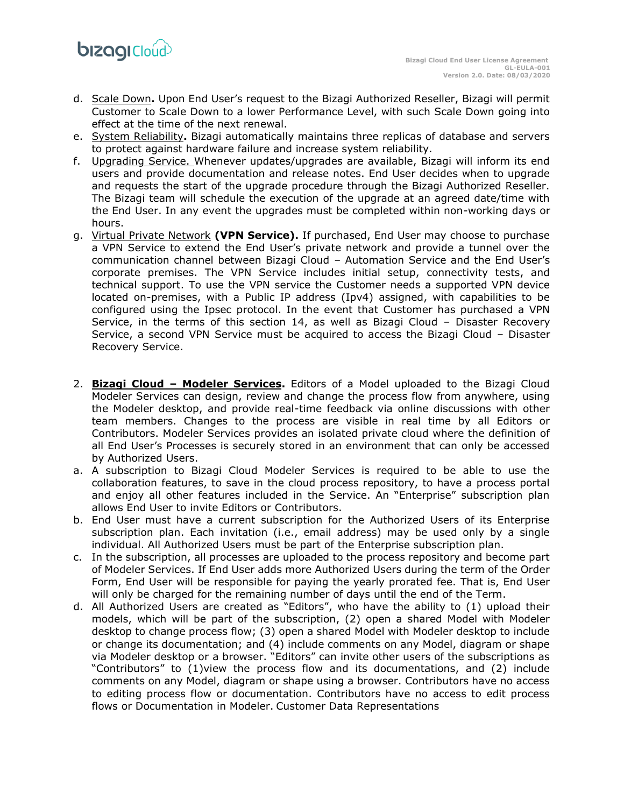- d. Scale Down**.** Upon End User's request to the Bizagi Authorized Reseller, Bizagi will permit Customer to Scale Down to a lower Performance Level, with such Scale Down going into effect at the time of the next renewal.
- e. System Reliability**.** Bizagi automatically maintains three replicas of database and servers to protect against hardware failure and increase system reliability.
- f. Upgrading Service. Whenever updates/upgrades are available, Bizagi will inform its end users and provide documentation and release notes. End User decides when to upgrade and requests the start of the upgrade procedure through the Bizagi Authorized Reseller. The Bizagi team will schedule the execution of the upgrade at an agreed date/time with the End User. In any event the upgrades must be completed within non-working days or hours.
- g. Virtual Private Network **(VPN Service).** If purchased, End User may choose to purchase a VPN Service to extend the End User's private network and provide a tunnel over the communication channel between Bizagi Cloud – Automation Service and the End User's corporate premises. The VPN Service includes initial setup, connectivity tests, and technical support. To use the VPN service the Customer needs a supported VPN device located on-premises, with a Public IP address (Ipv4) assigned, with capabilities to be configured using the Ipsec protocol. In the event that Customer has purchased a VPN Service, in the terms of this section 14, as well as Bizagi Cloud – Disaster Recovery Service, a second VPN Service must be acquired to access the Bizagi Cloud – Disaster Recovery Service.
- 2. **Bizagi Cloud – Modeler Services.** Editors of a Model uploaded to the Bizagi Cloud Modeler Services can design, review and change the process flow from anywhere, using the Modeler desktop, and provide real-time feedback via online discussions with other team members. Changes to the process are visible in real time by all Editors or Contributors. Modeler Services provides an isolated private cloud where the definition of all End User's Processes is securely stored in an environment that can only be accessed by Authorized Users.
- a. A subscription to Bizagi Cloud Modeler Services is required to be able to use the collaboration features, to save in the cloud process repository, to have a process portal and enjoy all other features included in the Service. An "Enterprise" subscription plan allows End User to invite Editors or Contributors.
- b. End User must have a current subscription for the Authorized Users of its Enterprise subscription plan. Each invitation (i.e., email address) may be used only by a single individual. All Authorized Users must be part of the Enterprise subscription plan.
- c. In the subscription, all processes are uploaded to the process repository and become part of Modeler Services. If End User adds more Authorized Users during the term of the Order Form, End User will be responsible for paying the yearly prorated fee. That is, End User will only be charged for the remaining number of days until the end of the Term.
- d. All Authorized Users are created as "Editors", who have the ability to (1) upload their models, which will be part of the subscription, (2) open a shared Model with Modeler desktop to change process flow; (3) open a shared Model with Modeler desktop to include or change its documentation; and (4) include comments on any Model, diagram or shape via Modeler desktop or a browser. "Editors" can invite other users of the subscriptions as "Contributors" to (1)view the process flow and its documentations, and (2) include comments on any Model, diagram or shape using a browser. Contributors have no access to editing process flow or documentation. Contributors have no access to edit process flows or Documentation in Modeler. Customer Data Representations